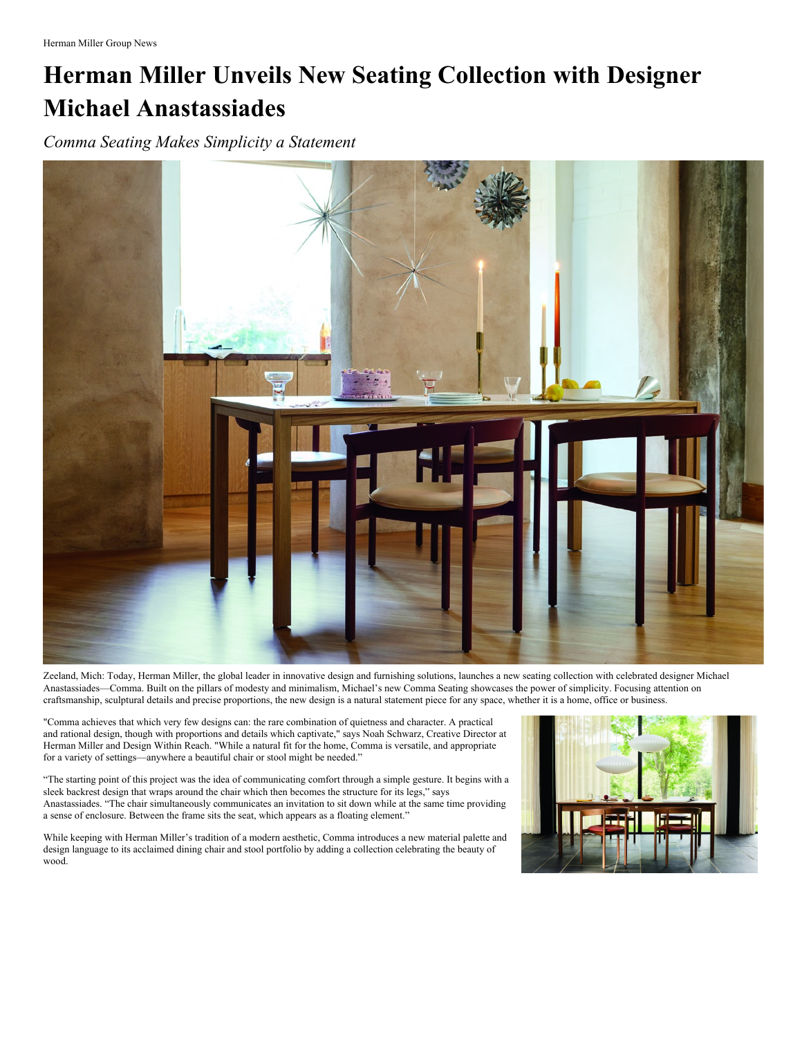## **Herman Miller Unveils New Seating Collection with Designer Michael Anastassiades**

*Comma Seating Makes Simplicity a Statement*



Zeeland, Mich: Today, Herman Miller, the global leader in innovative design and furnishing solutions, launches a new seating collection with celebrated designer Michael Anastassiades—Comma. Built on the pillars of modesty and minimalism, Michael's new Comma Seating showcases the power of simplicity. Focusing attention on craftsmanship, sculptural details and precise proportions, the new design is a natural statement piece for any space, whether it is a home, office or business.

"Comma achieves that which very few designs can: the rare combination of quietness and character. A practical and rational design, though with proportions and details which captivate," says Noah Schwarz, Creative Director at Herman Miller and Design Within Reach. "While a natural fit for the home, Comma is versatile, and appropriate for a variety of settings—anywhere a beautiful chair or stool might be needed."

"The starting point of this project was the idea of communicating comfort through a simple gesture. It begins with a sleek backrest design that wraps around the chair which then becomes the structure for its legs," says Anastassiades. "The chair simultaneously communicates an invitation to sit down while at the same time providing a sense of enclosure. Between the frame sits the seat, which appears as a floating element."

While keeping with Herman Miller's tradition of a modern aesthetic, Comma introduces a new material palette and design language to its acclaimed dining chair and stool portfolio by adding a collection celebrating the beauty of wood.